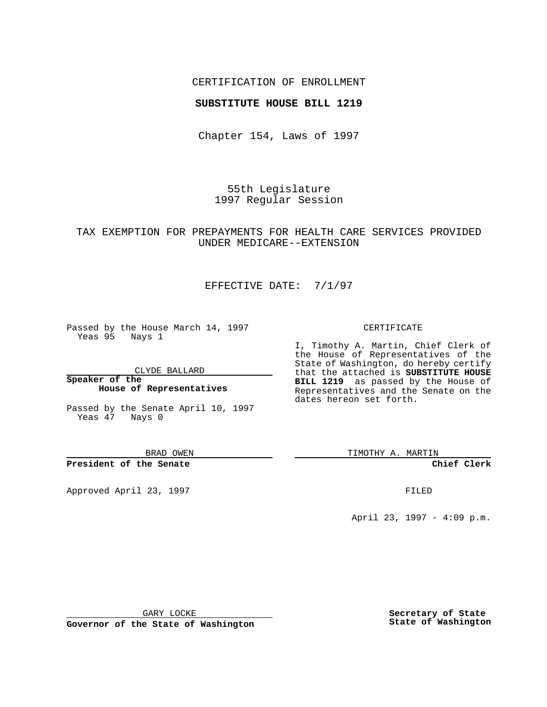## CERTIFICATION OF ENROLLMENT

### **SUBSTITUTE HOUSE BILL 1219**

Chapter 154, Laws of 1997

55th Legislature 1997 Regular Session

## TAX EXEMPTION FOR PREPAYMENTS FOR HEALTH CARE SERVICES PROVIDED UNDER MEDICARE--EXTENSION

# EFFECTIVE DATE: 7/1/97

Passed by the House March 14, 1997 Yeas 95 Nays 1

CLYDE BALLARD

**Speaker of the House of Representatives**

Passed by the Senate April 10, 1997 Yeas 47 Nays 0

BRAD OWEN

**President of the Senate**

Approved April 23, 1997 **FILED** 

#### CERTIFICATE

I, Timothy A. Martin, Chief Clerk of the House of Representatives of the State of Washington, do hereby certify that the attached is **SUBSTITUTE HOUSE BILL 1219** as passed by the House of Representatives and the Senate on the dates hereon set forth.

TIMOTHY A. MARTIN

**Chief Clerk**

April 23, 1997 - 4:09 p.m.

GARY LOCKE

**Governor of the State of Washington**

**Secretary of State State of Washington**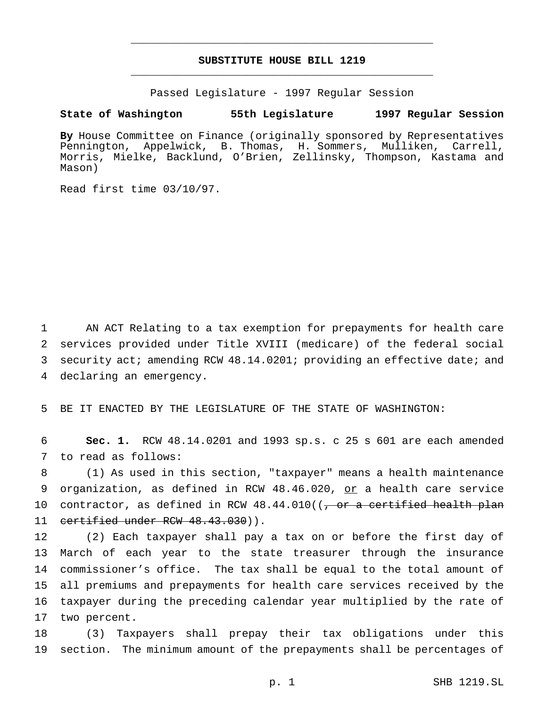# **SUBSTITUTE HOUSE BILL 1219** \_\_\_\_\_\_\_\_\_\_\_\_\_\_\_\_\_\_\_\_\_\_\_\_\_\_\_\_\_\_\_\_\_\_\_\_\_\_\_\_\_\_\_\_\_\_\_

\_\_\_\_\_\_\_\_\_\_\_\_\_\_\_\_\_\_\_\_\_\_\_\_\_\_\_\_\_\_\_\_\_\_\_\_\_\_\_\_\_\_\_\_\_\_\_

Passed Legislature - 1997 Regular Session

#### **State of Washington 55th Legislature 1997 Regular Session**

**By** House Committee on Finance (originally sponsored by Representatives Pennington, Appelwick, B. Thomas, H. Sommers, Mulliken, Carrell, Morris, Mielke, Backlund, O'Brien, Zellinsky, Thompson, Kastama and Mason)

Read first time 03/10/97.

 AN ACT Relating to a tax exemption for prepayments for health care services provided under Title XVIII (medicare) of the federal social security act; amending RCW 48.14.0201; providing an effective date; and declaring an emergency.

5 BE IT ENACTED BY THE LEGISLATURE OF THE STATE OF WASHINGTON:

6 **Sec. 1.** RCW 48.14.0201 and 1993 sp.s. c 25 s 601 are each amended 7 to read as follows:

8 (1) As used in this section, "taxpayer" means a health maintenance 9 organization, as defined in RCW 48.46.020, or a health care service 10 contractor, as defined in RCW  $48.44.010$  (( $\frac{\pi}{100}$  or a certified health plan 11 certified under RCW 48.43.030)).

 (2) Each taxpayer shall pay a tax on or before the first day of March of each year to the state treasurer through the insurance commissioner's office. The tax shall be equal to the total amount of all premiums and prepayments for health care services received by the taxpayer during the preceding calendar year multiplied by the rate of two percent.

18 (3) Taxpayers shall prepay their tax obligations under this 19 section. The minimum amount of the prepayments shall be percentages of